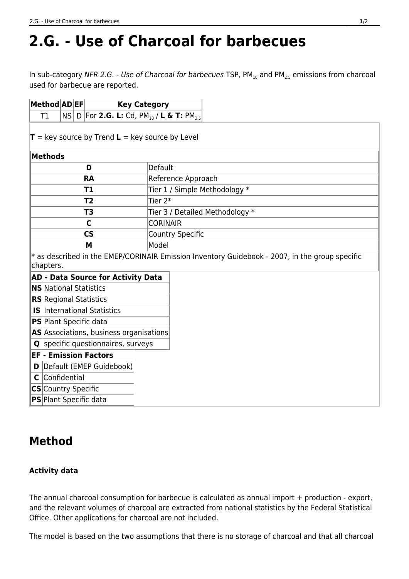# **2.G. - Use of Charcoal for barbecues**

In sub-category NFR 2.G. - Use of Charcoal for barbecues TSP,  $PM_{10}$  and  $PM_{25}$  emissions from charcoal used for barbecue are reported.

| $ \mathsf{Method} \mathsf{AD} \mathsf{EF} $ |  | <b>Key Category</b>                                                     |
|---------------------------------------------|--|-------------------------------------------------------------------------|
|                                             |  | $ $ NS $ $ D $ $ For <u>2.G.</u> L: Cd, PM $_{10}$ / L & T: PM $_{2.5}$ |

 $\mathbf{T}$  = key source by Trend **L** = key source by Level

| Methods   |                                 |
|-----------|---------------------------------|
| D         | Default                         |
| <b>RA</b> | Reference Approach              |
| Τ1        | Tier 1 / Simple Methodology *   |
| Τ2        | Tier 2*                         |
| T3        | Tier 3 / Detailed Methodology * |
| C         | <b>CORINAIR</b>                 |
| <b>CS</b> | Country Specific                |
| M         | Model                           |

\* as described in the EMEP/CORINAIR Emission Inventory Guidebook - 2007, in the group specific chapters.

### **AD - Data Source for Activity Data**

**NS** National Statistics

**RS** Regional Statistics

- **IS** International Statistics
- **PS** Plant Specific data

AS Associations, business organisations

**Q** specific questionnaires, surveys

### **EF - Emission Factors**

- **D** Default (EMEP Guidebook)
- **C** Confidential
- **CS** Country Specific

**PS** Plant Specific data

# **Method**

## **Activity data**

The annual charcoal consumption for barbecue is calculated as annual import + production - export, and the relevant volumes of charcoal are extracted from national statistics by the Federal Statistical Office. Other applications for charcoal are not included.

The model is based on the two assumptions that there is no storage of charcoal and that all charcoal